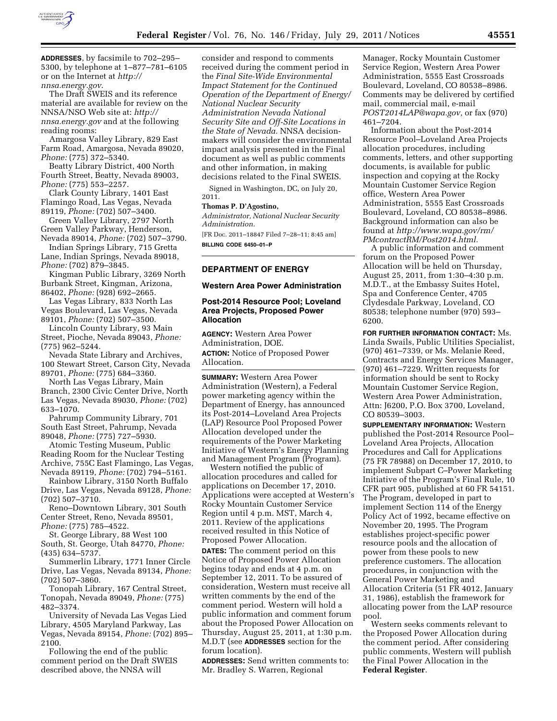

**ADDRESSES**, by facsimile to 702–295– 5300, by telephone at 1–877–781–6105 or on the Internet at *[http://](http://nnsa.energy.gov)  [nnsa.energy.gov](http://nnsa.energy.gov)*.

The Draft SWEIS and its reference material are available for review on the NNSA/NSO Web site at: *[http://](http://nnsa.energy.gov)  [nnsa.energy.gov](http://nnsa.energy.gov)* and at the following reading rooms:

Amargosa Valley Library, 829 East Farm Road, Amargosa, Nevada 89020, *Phone:* (775) 372–5340.

Beatty Library District, 400 North Fourth Street, Beatty, Nevada 89003, *Phone:* (775) 553–2257.

Clark County Library, 1401 East Flamingo Road, Las Vegas, Nevada 89119, *Phone:* (702) 507–3400.

Green Valley Library, 2797 North Green Valley Parkway, Henderson, Nevada 89014, *Phone:* (702) 507–3790.

Indian Springs Library, 715 Gretta Lane, Indian Springs, Nevada 89018, *Phone:* (702) 879–3845.

Kingman Public Library, 3269 North Burbank Street, Kingman, Arizona, 86402, *Phone:* (928) 692–2665.

Las Vegas Library, 833 North Las Vegas Boulevard, Las Vegas, Nevada 89101, *Phone:* (702) 507–3500.

Lincoln County Library, 93 Main Street, Pioche, Nevada 89043, *Phone:*  (775) 962–5244.

Nevada State Library and Archives, 100 Stewart Street, Carson City, Nevada 89701, *Phone:* (775) 684–3360.

North Las Vegas Library, Main Branch, 2300 Civic Center Drive, North Las Vegas, Nevada 89030, *Phone:* (702) 633–1070.

Pahrump Community Library, 701 South East Street, Pahrump, Nevada 89048, *Phone:* (775) 727–5930.

Atomic Testing Museum, Public Reading Room for the Nuclear Testing Archive, 755C East Flamingo, Las Vegas, Nevada 89119, *Phone:* (702) 794–5161.

Rainbow Library, 3150 North Buffalo Drive, Las Vegas, Nevada 89128, *Phone:*  (702) 507–3710.

Reno–Downtown Library, 301 South Center Street, Reno, Nevada 89501, *Phone:* (775) 785–4522.

St. George Library, 88 West 100 South, St. George, Utah 84770, *Phone:*  (435) 634–5737.

Summerlin Library, 1771 Inner Circle Drive, Las Vegas, Nevada 89134, *Phone:*  (702) 507–3860.

Tonopah Library, 167 Central Street, Tonopah, Nevada 89049, *Phone:* (775) 482–3374.

University of Nevada Las Vegas Lied Library, 4505 Maryland Parkway, Las Vegas, Nevada 89154, *Phone:* (702) 895– 2100.

Following the end of the public comment period on the Draft SWEIS described above, the NNSA will

consider and respond to comments received during the comment period in the *Final Site-Wide Environmental Impact Statement for the Continued Operation of the Department of Energy/ National Nuclear Security Administration Nevada National Security Site and Off-Site Locations in the State of Nevada.* NNSA decisionmakers will consider the environmental impact analysis presented in the Final document as well as public comments and other information, in making decisions related to the Final SWEIS.

Signed in Washington, DC, on July 20, 2011.

#### **Thomas P. D'Agostino,**

*Administrator, National Nuclear Security Administration.* 

[FR Doc. 2011–18847 Filed 7–28–11; 8:45 am] **BILLING CODE 6450–01–P** 

# **DEPARTMENT OF ENERGY**

#### **Western Area Power Administration**

### **Post-2014 Resource Pool; Loveland Area Projects, Proposed Power Allocation**

**AGENCY:** Western Area Power Administration, DOE. **ACTION:** Notice of Proposed Power Allocation.

**SUMMARY:** Western Area Power Administration (Western), a Federal power marketing agency within the Department of Energy, has announced its Post-2014–Loveland Area Projects (LAP) Resource Pool Proposed Power Allocation developed under the requirements of the Power Marketing Initiative of Western's Energy Planning and Management Program (Program).

Western notified the public of allocation procedures and called for applications on December 17, 2010. Applications were accepted at Western's Rocky Mountain Customer Service Region until 4 p.m. MST, March 4, 2011. Review of the applications received resulted in this Notice of Proposed Power Allocation.

**DATES:** The comment period on this Notice of Proposed Power Allocation begins today and ends at 4 p.m. on September 12, 2011. To be assured of consideration, Western must receive all written comments by the end of the comment period. Western will hold a public information and comment forum about the Proposed Power Allocation on Thursday, August 25, 2011, at 1:30 p.m. M.D.T (see **ADDRESSES** section for the forum location).

**ADDRESSES:** Send written comments to: Mr. Bradley S. Warren, Regional

Manager, Rocky Mountain Customer Service Region, Western Area Power Administration, 5555 East Crossroads Boulevard, Loveland, CO 80538–8986. Comments may be delivered by certified mail, commercial mail, e-mail *[POST2014LAP@wapa.gov,](mailto:POST2014LAP@wapa.gov)* or fax (970) 461–7204.

Information about the Post-2014 Resource Pool–Loveland Area Projects allocation procedures, including comments, letters, and other supporting documents, is available for public inspection and copying at the Rocky Mountain Customer Service Region office, Western Area Power Administration, 5555 East Crossroads Boulevard, Loveland, CO 80538–8986. Background information can also be found at *[http://www.wapa.gov/rm/](http://www.wapa.gov/rm/PMcontractRM/Post2014.html)  [PMcontractRM/Post2014.html.](http://www.wapa.gov/rm/PMcontractRM/Post2014.html)* 

A public information and comment forum on the Proposed Power Allocation will be held on Thursday, August 25, 2011, from 1:30–4:30 p.m. M.D.T., at the Embassy Suites Hotel, Spa and Conference Center, 4705 Clydesdale Parkway, Loveland, CO 80538; telephone number (970) 593– 6200.

**FOR FURTHER INFORMATION CONTACT:** Ms. Linda Swails, Public Utilities Specialist, (970) 461–7339, or Ms. Melanie Reed, Contracts and Energy Services Manager, (970) 461–7229. Written requests for information should be sent to Rocky Mountain Customer Service Region, Western Area Power Administration, Attn: J6200, P.O. Box 3700, Loveland, CO 80539–3003.

**SUPPLEMENTARY INFORMATION:** Western published the Post-2014 Resource Pool– Loveland Area Projects, Allocation Procedures and Call for Applications (75 FR 78988) on December 17, 2010, to implement Subpart C–Power Marketing Initiative of the Program's Final Rule, 10 CFR part 905, published at 60 FR 54151. The Program, developed in part to implement Section 114 of the Energy Policy Act of 1992, became effective on November 20, 1995. The Program establishes project-specific power resource pools and the allocation of power from these pools to new preference customers. The allocation procedures, in conjunction with the General Power Marketing and Allocation Criteria (51 FR 4012, January 31, 1986), establish the framework for allocating power from the LAP resource pool.

Western seeks comments relevant to the Proposed Power Allocation during the comment period. After considering public comments, Western will publish the Final Power Allocation in the **Federal Register**.